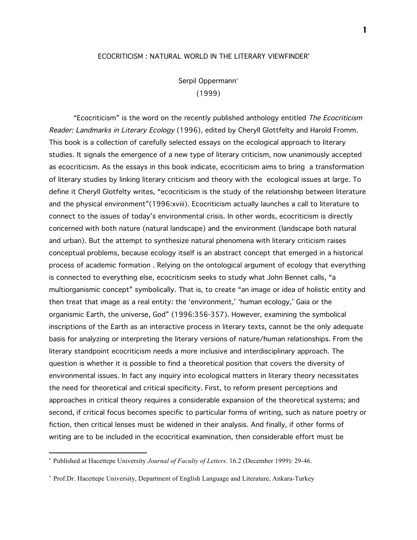## ECOCRITICISM : NATURAL WORLD IN THE LITERARY VIEWFINDER•

Serpil Oppermann<sup>∗</sup> (1999)

"Ecocriticism" is the word on the recently published anthology entitled The Ecocriticism Reader: Landmarks in Literary Ecology (1996), edited by Cheryll Glottfelty and Harold Fromm. This book is a collection of carefully selected essays on the ecological approach to literary studies. It signals the emergence of a new type of literary criticism, now unanimously accepted as ecocriticism. As the essays in this book indicate, ecocriticism aims to bring a transformation of literary studies by linking literary criticism and theory with the ecological issues at large. To define it Cheryll Glotfelty writes, "ecocriticism is the study of the relationship between literature and the physical environment"(1996:xviii). Ecocriticism actually launches a call to literature to connect to the issues of today's environmental crisis. In other words, ecocriticism is directly concerned with both nature (natural landscape) and the environment (landscape both natural and urban). But the attempt to synthesize natural phenomena with literary criticism raises conceptual problems, because ecology itself is an abstract concept that emerged in a historical process of academic formation . Relying on the ontological argument of ecology that everything is connected to everything else, ecocriticism seeks to study what John Bennet calls, "a multiorganismic concept" symbolically. That is, to create "an image or idea of holistic entity and then treat that image as a real entity: the 'environment,' 'human ecology,' Gaia or the organismic Earth, the universe, God" (1996:356-357). However, examining the symbolical inscriptions of the Earth as an interactive process in literary texts, cannot be the only adequate basis for analyzing or interpreting the literary versions of nature/human relationships. From the literary standpoint ecocriticism needs a more inclusive and interdisciplinary approach. The question is whether it is possible to find a theoretical position that covers the diversity of environmental issues. In fact any inquiry into ecological matters in literary theory necessitates the need for theoretical and critical specificity. First, to reform present perceptions and approaches in critical theory requires a considerable expansion of the theoretical systems; and second, if critical focus becomes specific to particular forms of writing, such as nature poetry or fiction, then critical lenses must be widened in their analysis. And finally, if other forms of writing are to be included in the ecocritical examination, then considerable effort must be

i,

<sup>•</sup> Published at Hacettepe University *Journal of Faculty of Letters*. 16.2 (December 1999): 29-46.

<sup>∗</sup> Prof.Dr. Hacettepe University, Department of English Language and Literature, Ankara-Turkey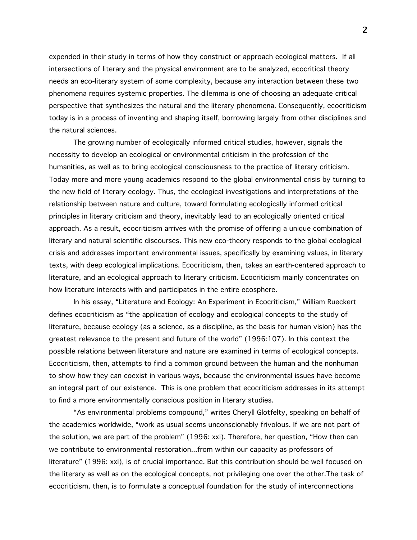expended in their study in terms of how they construct or approach ecological matters. If all intersections of literary and the physical environment are to be analyzed, ecocritical theory needs an eco-literary system of some complexity, because any interaction between these two phenomena requires systemic properties. The dilemma is one of choosing an adequate critical perspective that synthesizes the natural and the literary phenomena. Consequently, ecocriticism today is in a process of inventing and shaping itself, borrowing largely from other disciplines and the natural sciences.

The growing number of ecologically informed critical studies, however, signals the necessity to develop an ecological or environmental criticism in the profession of the humanities, as well as to bring ecological consciousness to the practice of literary criticism. Today more and more young academics respond to the global environmental crisis by turning to the new field of literary ecology. Thus, the ecological investigations and interpretations of the relationship between nature and culture, toward formulating ecologically informed critical principles in literary criticism and theory, inevitably lead to an ecologically oriented critical approach. As a result, ecocriticism arrives with the promise of offering a unique combination of literary and natural scientific discourses. This new eco-theory responds to the global ecological crisis and addresses important environmental issues, specifically by examining values, in literary texts, with deep ecological implications. Ecocriticism, then, takes an earth-centered approach to literature, and an ecological approach to literary criticism. Ecocriticism mainly concentrates on how literature interacts with and participates in the entire ecosphere.

In his essay, "Literature and Ecology: An Experiment in Ecocriticism," William Rueckert defines ecocriticism as "the application of ecology and ecological concepts to the study of literature, because ecology (as a science, as a discipline, as the basis for human vision) has the greatest relevance to the present and future of the world" (1996:107). In this context the possible relations between literature and nature are examined in terms of ecological concepts. Ecocriticism, then, attempts to find a common ground between the human and the nonhuman to show how they can coexist in various ways, because the environmental issues have become an integral part of our existence. This is one problem that ecocriticism addresses in its attempt to find a more environmentally conscious position in literary studies.

"As environmental problems compound," writes Cheryll Glotfelty, speaking on behalf of the academics worldwide, "work as usual seems unconscionably frivolous. If we are not part of the solution, we are part of the problem" (1996: xxi). Therefore, her question, "How then can we contribute to environmental restoration...from within our capacity as professors of literature" (1996: xxi), is of crucial importance. But this contribution should be well focused on the literary as well as on the ecological concepts, not privileging one over the other.The task of ecocriticism, then, is to formulate a conceptual foundation for the study of interconnections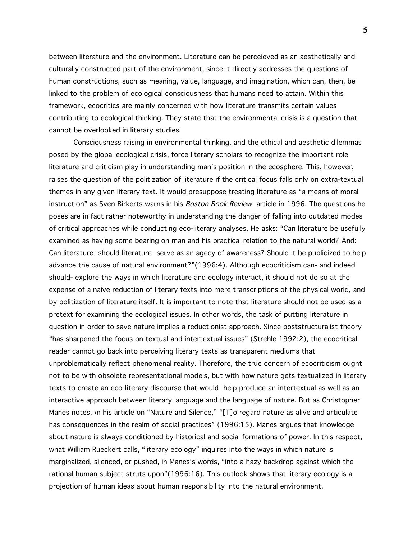between literature and the environment. Literature can be perceieved as an aesthetically and culturally constructed part of the environment, since it directly addresses the questions of human constructions, such as meaning, value, language, and imagination, which can, then, be linked to the problem of ecological consciousness that humans need to attain. Within this framework, ecocritics are mainly concerned with how literature transmits certain values contributing to ecological thinking. They state that the environmental crisis is a question that cannot be overlooked in literary studies.

Consciousness raising in environmental thinking, and the ethical and aesthetic dilemmas posed by the global ecological crisis, force literary scholars to recognize the important role literature and criticism play in understanding man's position in the ecosphere. This, however, raises the question of the politization of literature if the critical focus falls only on extra-textual themes in any given literary text. It would presuppose treating literature as "a means of moral instruction" as Sven Birkerts warns in his Boston Book Review article in 1996. The questions he poses are in fact rather noteworthy in understanding the danger of falling into outdated modes of critical approaches while conducting eco-literary analyses. He asks: "Can literature be usefully examined as having some bearing on man and his practical relation to the natural world? And: Can literature- should literature- serve as an agecy of awareness? Should it be publicized to help advance the cause of natural environment?"(1996:4). Although ecocriticism can- and indeed should- explore the ways in which literature and ecology interact, it should not do so at the expense of a naive reduction of literary texts into mere transcriptions of the physical world, and by politization of literature itself. It is important to note that literature should not be used as a pretext for examining the ecological issues. In other words, the task of putting literature in question in order to save nature implies a reductionist approach. Since poststructuralist theory "has sharpened the focus on textual and intertextual issues" (Strehle 1992:2), the ecocritical reader cannot go back into perceiving literary texts as transparent mediums that unproblematically reflect phenomenal reality. Therefore, the true concern of ecocriticism ought not to be with obsolete representational models, but with how nature gets textualized in literary texts to create an eco-literary discourse that would help produce an intertextual as well as an interactive approach between literary language and the language of nature. But as Christopher Manes notes, ›n his article on "Nature and Silence," "[T]o regard nature as alive and articulate has consequences in the realm of social practices" (1996:15). Manes argues that knowledge about nature is always conditioned by historical and social formations of power. In this respect, what William Rueckert calls, "literary ecology" inquires into the ways in which nature is marginalized, silenced, or pushed, in Manes's words, "into a hazy backdrop against which the rational human subject struts upon"(1996:16). This outlook shows that literary ecology is a projection of human ideas about human responsibility into the natural environment.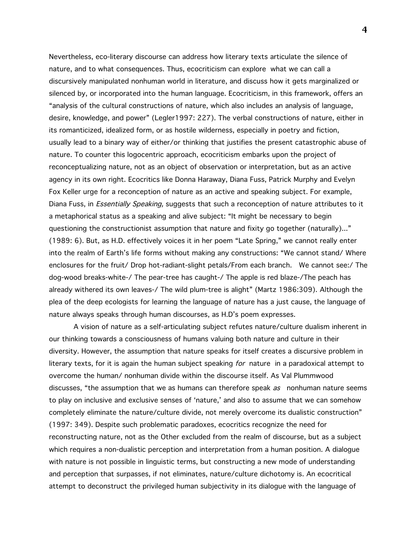Nevertheless, eco-literary discourse can address how literary texts articulate the silence of nature, and to what consequences. Thus, ecocriticism can explore what we can call a discursively manipulated nonhuman world in literature, and discuss how it gets marginalized or silenced by, or incorporated into the human language. Ecocriticism, in this framework, offers an "analysis of the cultural constructions of nature, which also includes an analysis of language, desire, knowledge, and power" (Legler1997: 227). The verbal constructions of nature, either in its romanticized, idealized form, or as hostile wilderness, especially in poetry and fiction, usually lead to a binary way of either/or thinking that justifies the present catastrophic abuse of nature. To counter this logocentric approach, ecocriticism embarks upon the project of reconceptualizing nature, not as an object of observation or interpretation, but as an active agency in its own right. Ecocritics like Donna Haraway, Diana Fuss, Patrick Murphy and Evelyn Fox Keller urge for a reconception of nature as an active and speaking subject. For example, Diana Fuss, in *Essentially Speaking*, suggests that such a reconception of nature attributes to it a metaphorical status as a speaking and alive subject: "It might be necessary to begin questioning the constructionist assumption that nature and fixity go together (naturally)..." (1989: 6). But, as H.D. effectively voices it in her poem "Late Spring," we cannot really enter into the realm of Earth's life forms without making any constructions: "We cannot stand/ Where enclosures for the fruit/ Drop hot-radiant-slight petals/From each branch. We cannot see:/ The dog-wood breaks-white-/ The pear-tree has caught-/ The apple is red blaze-/The peach has already withered its own leaves-/ The wild plum-tree is alight" (Martz 1986:309). Although the plea of the deep ecologists for learning the language of nature has a just cause, the language of nature always speaks through human discourses, as H.D's poem expresses.

A vision of nature as a self-articulating subject refutes nature/culture dualism inherent in our thinking towards a consciousness of humans valuing both nature and culture in their diversity. However, the assumption that nature speaks for itself creates a discursive problem in literary texts, for it is again the human subject speaking for nature in a paradoxical attempt to overcome the human/ nonhuman divide within the discourse itself. As Val Plummwood discusses, "the assumption that we as humans can therefore speak *as* nonhuman nature seems to play on inclusive and exclusive senses of 'nature,' and also to assume that we can somehow completely eliminate the nature/culture divide, not merely overcome its dualistic construction" (1997: 349). Despite such problematic paradoxes, ecocritics recognize the need for reconstructing nature, not as the Other excluded from the realm of discourse, but as a subject which requires a non-dualistic perception and interpretation from a human position. A dialogue with nature is not possible in linguistic terms, but constructing a new mode of understanding and perception that surpasses, if not eliminates, nature/culture dichotomy is. An ecocritical attempt to deconstruct the privileged human subjectivity in its dialogue with the language of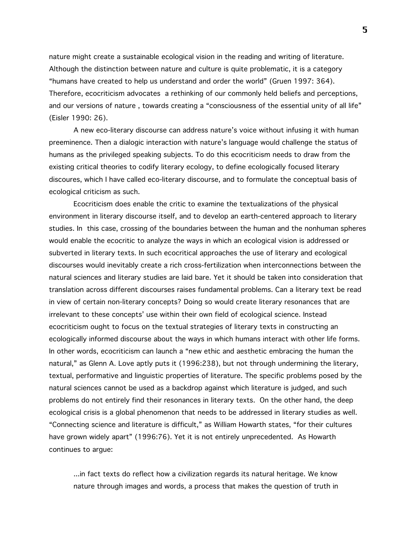nature might create a sustainable ecological vision in the reading and writing of literature. Although the distinction between nature and culture is quite problematic, it is a category "humans have created to help us understand and order the world" (Gruen 1997: 364). Therefore, ecocriticism advocates a rethinking of our commonly held beliefs and perceptions, and our versions of nature , towards creating a "consciousness of the essential unity of all life" (Eisler 1990: 26).

A new eco-literary discourse can address nature's voice without infusing it with human preeminence. Then a dialogic interaction with nature's language would challenge the status of humans as the privileged speaking subjects. To do this ecocriticism needs to draw from the existing critical theories to codify literary ecology, to define ecologically focused literary discoures, which I have called eco-literary discourse, and to formulate the conceptual basis of ecological criticism as such.

Ecocriticism does enable the critic to examine the textualizations of the physical environment in literary discourse itself, and to develop an earth-centered approach to literary studies. In this case, crossing of the boundaries between the human and the nonhuman spheres would enable the ecocritic to analyze the ways in which an ecological vision is addressed or subverted in literary texts. In such ecocritical approaches the use of literary and ecological discourses would inevitably create a rich cross-fertilization when interconnections between the natural sciences and literary studies are laid bare. Yet it should be taken into consideration that translation across different discourses raises fundamental problems. Can a literary text be read in view of certain non-literary concepts? Doing so would create literary resonances that are irrelevant to these concepts' use within their own field of ecological science. Instead ecocriticism ought to focus on the textual strategies of literary texts in constructing an ecologically informed discourse about the ways in which humans interact with other life forms. In other words, ecocriticism can launch a "new ethic and aesthetic embracing the human the natural," as Glenn A. Love aptly puts it (1996:238), but not through undermining the literary, textual, performative and linguistic properties of literature. The specific problems posed by the natural sciences cannot be used as a backdrop against which literature is judged, and such problems do not entirely find their resonances in literary texts. On the other hand, the deep ecological crisis is a global phenomenon that needs to be addressed in literary studies as well. "Connecting science and literature is difficult," as William Howarth states, "for their cultures have grown widely apart" (1996:76). Yet it is not entirely unprecedented. As Howarth continues to argue:

...in fact texts do reflect how a civilization regards its natural heritage. We know nature through images and words, a process that makes the question of truth in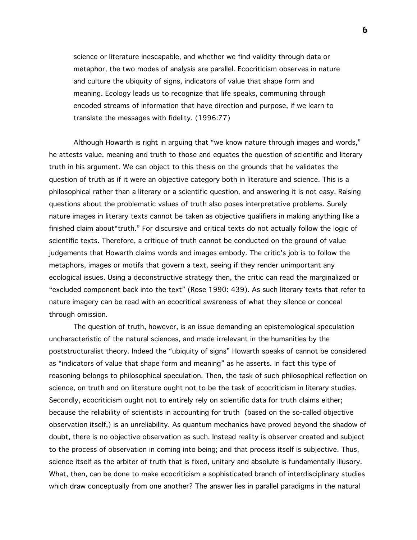science or literature inescapable, and whether we find validity through data or metaphor, the two modes of analysis are parallel. Ecocriticism observes in nature and culture the ubiquity of signs, indicators of value that shape form and meaning. Ecology leads us to recognize that life speaks, communing through encoded streams of information that have direction and purpose, if we learn to translate the messages with fidelity. (1996:77)

Although Howarth is right in arguing that "we know nature through images and words," he attests value, meaning and truth to those and equates the question of scientific and literary truth in his argument. We can object to this thesis on the grounds that he validates the question of truth as if it were an objective category both in literature and science. This is a philosophical rather than a literary or a scientific question, and answering it is not easy. Raising questions about the problematic values of truth also poses interpretative problems. Surely nature images in literary texts cannot be taken as objective qualifiers in making anything like a finished claim about"truth." For discursive and critical texts do not actually follow the logic of scientific texts. Therefore, a critique of truth cannot be conducted on the ground of value judgements that Howarth claims words and images embody. The critic's job is to follow the metaphors, images or motifs that govern a text, seeing if they render unimportant any ecological issues. Using a deconstructive strategy then, the critic can read the marginalized or "excluded component back into the text" (Rose 1990: 439). As such literary texts that refer to nature imagery can be read with an ecocritical awareness of what they silence or conceal through omission.

The question of truth, however, is an issue demanding an epistemological speculation uncharacteristic of the natural sciences, and made irrelevant in the humanities by the poststructuralist theory. Indeed the "ubiquity of signs" Howarth speaks of cannot be considered as "indicators of value that shape form and meaning" as he asserts. In fact this type of reasoning belongs to philosophical speculation. Then, the task of such philosophical reflection on science, on truth and on literature ought not to be the task of ecocriticism in literary studies. Secondly, ecocriticism ought not to entirely rely on scientific data for truth claims either; because the reliability of scientists in accounting for truth (based on the so-called objective observation itself,) is an unreliability. As quantum mechanics have proved beyond the shadow of doubt, there is no objective observation as such. Instead reality is observer created and subject to the process of observation in coming into being; and that process itself is subjective. Thus, science itself as the arbiter of truth that is fixed, unitary and absolute is fundamentally illusory. What, then, can be done to make ecocriticism a sophisticated branch of interdisciplinary studies which draw conceptually from one another? The answer lies in parallel paradigms in the natural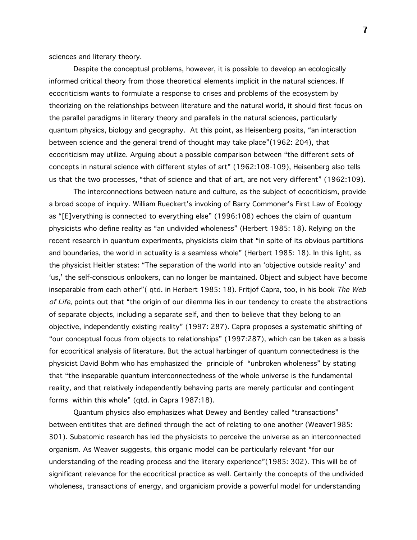sciences and literary theory.

Despite the conceptual problems, however, it is possible to develop an ecologically informed critical theory from those theoretical elements implicit in the natural sciences. If ecocriticism wants to formulate a response to crises and problems of the ecosystem by theorizing on the relationships between literature and the natural world, it should first focus on the parallel paradigms in literary theory and parallels in the natural sciences, particularly quantum physics, biology and geography. At this point, as Heisenberg posits, "an interaction between science and the general trend of thought may take place"(1962: 204), that ecocriticism may utilize. Arguing about a possible comparison between "the different sets of concepts in natural science with different styles of art" (1962:108-109), Heisenberg also tells us that the two processes, "that of science and that of art, are not very different" (1962:109).

The interconnections between nature and culture, as the subject of ecocriticism, provide a broad scope of inquiry. William Rueckert's invoking of Barry Commoner's First Law of Ecology as "[E]verything is connected to everything else" (1996:108) echoes the claim of quantum physicists who define reality as "an undivided wholeness" (Herbert 1985: 18). Relying on the recent research in quantum experiments, physicists claim that "in spite of its obvious partitions and boundaries, the world in actuality is a seamless whole" (Herbert 1985: 18). In this light, as the physicist Heitler states: "The separation of the world into an 'objective outside reality' and 'us,' the self-conscious onlookers, can no longer be maintained. Object and subject have become inseparable from each other"( qtd. in Herbert 1985: 18). Fritjof Capra, too, in his book The Web of Life, points out that "the origin of our dilemma lies in our tendency to create the abstractions of separate objects, including a separate self, and then to believe that they belong to an objective, independently existing reality" (1997: 287). Capra proposes a systematic shifting of "our conceptual focus from objects to relationships" (1997:287), which can be taken as a basis for ecocritical analysis of literature. But the actual harbinger of quantum connectedness is the physicist David Bohm who has emphasized the principle of "unbroken wholeness" by stating that "the inseparable quantum interconnectedness of the whole universe is the fundamental reality, and that relatively independently behaving parts are merely particular and contingent forms within this whole" (qtd. in Capra 1987:18).

Quantum physics also emphasizes what Dewey and Bentley called "transactions" between entitites that are defined through the act of relating to one another (Weaver1985: 301). Subatomic research has led the physicists to perceive the universe as an interconnected organism. As Weaver suggests, this organic model can be particularly relevant "for our understanding of the reading process and the literary experience"(1985: 302). This will be of significant relevance for the ecocritical practice as well. Certainly the concepts of the undivided wholeness, transactions of energy, and organicism provide a powerful model for understanding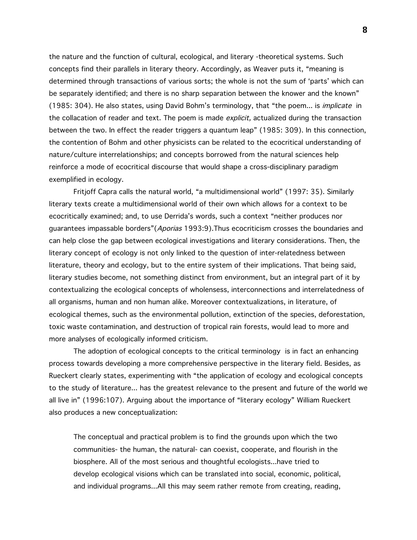the nature and the function of cultural, ecological, and literary -theoretical systems. Such concepts find their parallels in literary theory. Accordingly, as Weaver puts it, "meaning is determined through transactions of various sorts; the whole is not the sum of 'parts' which can be separately identified; and there is no sharp separation between the knower and the known" (1985: 304). He also states, using David Bohm's terminology, that "the poem... is implicate in the collacation of reader and text. The poem is made *explicit*, actualized during the transaction between the two. In effect the reader triggers a quantum leap" (1985: 309). In this connection, the contention of Bohm and other physicists can be related to the ecocritical understanding of nature/culture interrelationships; and concepts borrowed from the natural sciences help reinforce a mode of ecocritical discourse that would shape a cross-disciplinary paradigm exemplified in ecology.

Fritjoff Capra calls the natural world, "a multidimensional world" (1997: 35). Similarly literary texts create a multidimensional world of their own which allows for a context to be ecocritically examined; and, to use Derrida's words, such a context "neither produces nor guarantees impassable borders" (Aporias 1993:9). Thus ecocriticism crosses the boundaries and can help close the gap between ecological investigations and literary considerations. Then, the literary concept of ecology is not only linked to the question of inter-relatedness between literature, theory and ecology, but to the entire system of their implications. That being said, literary studies become, not something distinct from environment, but an integral part of it by contextualizing the ecological concepts of wholensess, interconnections and interrelatedness of all organisms, human and non human alike. Moreover contextualizations, in literature, of ecological themes, such as the environmental pollution, extinction of the species, deforestation, toxic waste contamination, and destruction of tropical rain forests, would lead to more and more analyses of ecologically informed criticism.

The adoption of ecological concepts to the critical terminology is in fact an enhancing process towards developing a more comprehensive perspective in the literary field. Besides, as Rueckert clearly states, experimenting with "the application of ecology and ecological concepts to the study of literature... has the greatest relevance to the present and future of the world we all live in" (1996:107). Arguing about the importance of "literary ecology" William Rueckert also produces a new conceptualization:

The conceptual and practical problem is to find the grounds upon which the two communities- the human, the natural- can coexist, cooperate, and flourish in the biosphere. All of the most serious and thoughtful ecologists...have tried to develop ecological visions which can be translated into social, economic, political, and individual programs...All this may seem rather remote from creating, reading,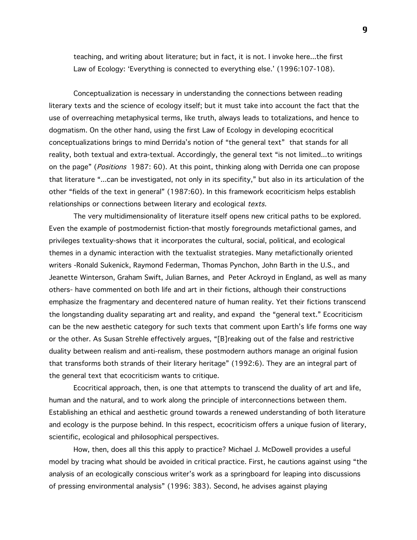teaching, and writing about literature; but in fact, it is not. I invoke here...the first Law of Ecology: 'Everything is connected to everything else.' (1996:107-108).

Conceptualization is necessary in understanding the connections between reading literary texts and the science of ecology itself; but it must take into account the fact that the use of overreaching metaphysical terms, like truth, always leads to totalizations, and hence to dogmatism. On the other hand, using the first Law of Ecology in developing ecocritical conceptualizations brings to mind Derrida's notion of "the general text" that stands for all reality, both textual and extra-textual. Accordingly, the general text "is not limited...to writings on the page" (*Positions* 1987: 60). At this point, thinking along with Derrida one can propose that literature "...can be investigated, not only in its specifity," but also in its articulation of the other "fields of the text in general" (1987:60). In this framework ecocriticism helps establish relationships or connections between literary and ecological texts.

The very multidimensionality of literature itself opens new critical paths to be explored. Even the example of postmodernist fiction-that mostly foregrounds metafictional games, and privileges textuality-shows that it incorporates the cultural, social, political, and ecological themes in a dynamic interaction with the textualist strategies. Many metafictionally oriented writers -Ronald Sukenick, Raymond Federman, Thomas Pynchon, John Barth in the U.S., and Jeanette Winterson, Graham Swift, Julian Barnes, and Peter Ackroyd in England, as well as many others- have commented on both life and art in their fictions, although their constructions emphasize the fragmentary and decentered nature of human reality. Yet their fictions transcend the longstanding duality separating art and reality, and expand the "general text." Ecocriticism can be the new aesthetic category for such texts that comment upon Earth's life forms one way or the other. As Susan Strehle effectively argues, "[B]reaking out of the false and restrictive duality between realism and anti-realism, these postmodern authors manage an original fusion that transforms both strands of their literary heritage" (1992:6). They are an integral part of the general text that ecocriticism wants to critique.

Ecocritical approach, then, is one that attempts to transcend the duality of art and life, human and the natural, and to work along the principle of interconnections between them. Establishing an ethical and aesthetic ground towards a renewed understanding of both literature and ecology is the purpose behind. In this respect, ecocriticism offers a unique fusion of literary, scientific, ecological and philosophical perspectives.

How, then, does all this this apply to practice? Michael J. McDowell provides a useful model by tracing what should be avoided in critical practice. First, he cautions against using "the analysis of an ecologically conscious writer's work as a springboard for leaping into discussions of pressing environmental analysis" (1996: 383). Second, he advises against playing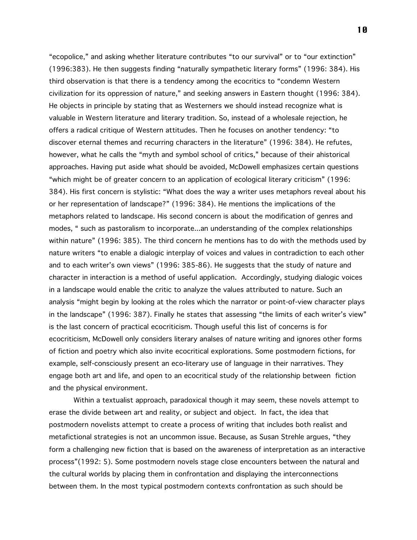"ecopolice," and asking whether literature contributes "to our survival" or to "our extinction" (1996:383). He then suggests finding "naturally sympathetic literary forms" (1996: 384). His third observation is that there is a tendency among the ecocritics to "condemn Western civilization for its oppression of nature," and seeking answers in Eastern thought (1996: 384). He objects in principle by stating that as Westerners we should instead recognize what is valuable in Western literature and literary tradition. So, instead of a wholesale rejection, he offers a radical critique of Western attitudes. Then he focuses on another tendency: "to discover eternal themes and recurring characters in the literature" (1996: 384). He refutes, however, what he calls the "myth and symbol school of critics," because of their ahistorical approaches. Having put aside what should be avoided, McDowell emphasizes certain questions "which might be of greater concern to an application of ecological literary criticism" (1996: 384). His first concern is stylistic: "What does the way a writer uses metaphors reveal about his or her representation of landscape?" (1996: 384). He mentions the implications of the metaphors related to landscape. His second concern is about the modification of genres and modes, " such as pastoralism to incorporate...an understanding of the complex relationships within nature" (1996: 385). The third concern he mentions has to do with the methods used by nature writers "to enable a dialogic interplay of voices and values in contradiction to each other and to each writer's own views" (1996: 385-86). He suggests that the study of nature and character in interaction is a method of useful application. Accordingly, studying dialogic voices in a landscape would enable the critic to analyze the values attributed to nature. Such an analysis "might begin by looking at the roles which the narrator or point-of-view character plays in the landscape" (1996: 387). Finally he states that assessing "the limits of each writer's view" is the last concern of practical ecocriticism. Though useful this list of concerns is for ecocriticism, McDowell only considers literary analses of nature writing and ignores other forms of fiction and poetry which also invite ecocritical explorations. Some postmodern fictions, for example, self-consciously present an eco-literary use of language in their narratives. They engage both art and life, and open to an ecocritical study of the relationship between fiction and the physical environment.

Within a textualist approach, paradoxical though it may seem, these novels attempt to erase the divide between art and reality, or subject and object. In fact, the idea that postmodern novelists attempt to create a process of writing that includes both realist and metafictional strategies is not an uncommon issue. Because, as Susan Strehle argues, "they form a challenging new fiction that is based on the awareness of interpretation as an interactive process"(1992: 5). Some postmodern novels stage close encounters between the natural and the cultural worlds by placing them in confrontation and displaying the interconnections between them. In the most typical postmodern contexts confrontation as such should be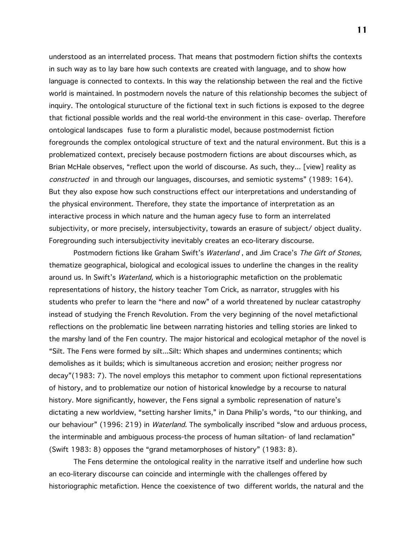understood as an interrelated process. That means that postmodern fiction shifts the contexts in such way as to lay bare how such contexts are created with language, and to show how language is connected to contexts. In this way the relationship between the real and the fictive world is maintained. In postmodern novels the nature of this relationship becomes the subject of inquiry. The ontological sturucture of the fictional text in such fictions is exposed to the degree that fictional possible worlds and the real world-the environment in this case- overlap. Therefore ontological landscapes fuse to form a pluralistic model, because postmodernist fiction foregrounds the complex ontological structure of text and the natural environment. But this is a problematized context, precisely because postmodern fictions are about discourses which, as Brian McHale observes, "reflect upon the world of discourse. As such, they... [view] reality as constructed in and through our languages, discourses, and semiotic systems" (1989: 164). But they also expose how such constructions effect our interpretations and understanding of the physical environment. Therefore, they state the importance of interpretation as an interactive process in which nature and the human agecy fuse to form an interrelated subjectivity, or more precisely, intersubjectivity, towards an erasure of subject/ object duality. Foregrounding such intersubjectivity inevitably creates an eco-literary discourse.

Postmodern fictions like Graham Swift's Waterland, and Jim Crace's The Gift of Stones, thematize geographical, biological and ecological issues to underline the changes in the reality around us. In Swift's Waterland, which is a historiographic metafiction on the problematic representations of history, the history teacher Tom Crick, as narrator, struggles with his students who prefer to learn the "here and now" of a world threatened by nuclear catastrophy instead of studying the French Revolution. From the very beginning of the novel metafictional reflections on the problematic line between narrating histories and telling stories are linked to the marshy land of the Fen country. The major historical and ecological metaphor of the novel is "Silt. The Fens were formed by silt...Silt: Which shapes and undermines continents; which demolishes as it builds; which is simultaneous accretion and erosion; neither progress nor decay"(1983: 7). The novel employs this metaphor to comment upon fictional representations of history, and to problematize our notion of historical knowledge by a recourse to natural history. More significantly, however, the Fens signal a symbolic represenation of nature's dictating a new worldview, "setting harsher limits," in Dana Philip's words, "to our thinking, and our behaviour" (1996: 219) in *Waterland.* The symbolically inscribed "slow and arduous process, the interminable and ambiguous process-the process of human siltation- of land reclamation" (Swift 1983: 8) opposes the "grand metamorphoses of history" (1983: 8).

The Fens determine the ontological reality in the narrative itself and underline how such an eco-literary discourse can coincide and intermingle with the challenges offered by historiographic metafiction. Hence the coexistence of two different worlds, the natural and the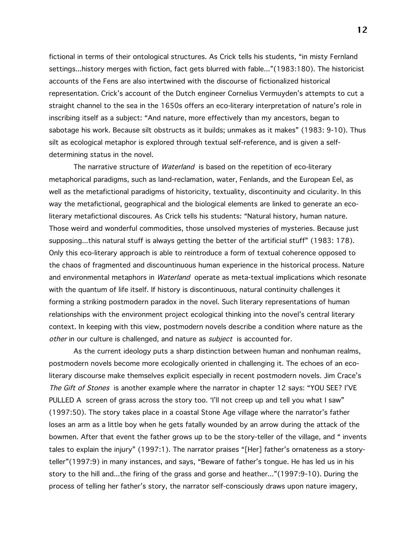fictional in terms of their ontological structures. As Crick tells his students, "in misty Fernland settings...history merges with fiction, fact gets blurred with fable..."(1983:180). The historicist accounts of the Fens are also intertwined with the discourse of fictionalized historical representation. Crick's account of the Dutch engineer Cornelius Vermuyden's attempts to cut a straight channel to the sea in the 1650s offers an eco-literary interpretation of nature's role in inscribing itself as a subject: "And nature, more effectively than my ancestors, began to sabotage his work. Because silt obstructs as it builds; unmakes as it makes" (1983: 9-10). Thus silt as ecological metaphor is explored through textual self-reference, and is given a selfdetermining status in the novel.

The narrative structure of *Waterland* is based on the repetition of eco-literary metaphorical paradigms, such as land-reclamation, water, Fenlands, and the European Eel, as well as the metafictional paradigms of historicity, textuality, discontinuity and cicularity. In this way the metafictional, geographical and the biological elements are linked to generate an ecoliterary metafictional discoures. As Crick tells his students: "Natural history, human nature. Those weird and wonderful commodities, those unsolved mysteries of mysteries. Because just supposing...this natural stuff is always getting the better of the artificial stuff" (1983: 178). Only this eco-literary approach is able to reintroduce a form of textual coherence opposed to the chaos of fragmented and discountinuous human experience in the historical process. Nature and environmental metaphors in Waterland operate as meta-textual implications which resonate with the quantum of life itself. If history is discontinuous, natural continuity challenges it forming a striking postmodern paradox in the novel. Such literary representations of human relationships with the environment project ecological thinking into the novel's central literary context. In keeping with this view, postmodern novels describe a condition where nature as the other in our culture is challenged, and nature as *subject* is accounted for.

As the current ideology puts a sharp distinction between human and nonhuman realms, postmodern novels become more ecologically oriented in challenging it. The echoes of an ecoliterary discourse make themselves explicit especially in recent postmodern novels. Jim Crace's The Gift of Stones is another example where the narrator in chapter 12 says: "YOU SEE? I'VE PULLED A screen of grass across the story too. 'I'll not creep up and tell you what I saw" (1997:50). The story takes place in a coastal Stone Age village where the narrator's father loses an arm as a little boy when he gets fatally wounded by an arrow during the attack of the bowmen. After that event the father grows up to be the story-teller of the village, and " invents tales to explain the injury" (1997:1). The narrator praises "[Her] father's ornateness as a storyteller"(1997:9) in many instances, and says, "Beware of father's tongue. He has led us in his story to the hill and...the firing of the grass and gorse and heather..."(1997:9-10). During the process of telling her father's story, the narrator self-consciously draws upon nature imagery,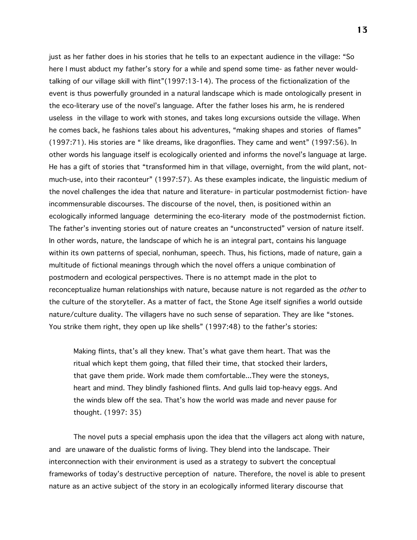just as her father does in his stories that he tells to an expectant audience in the village: "So here I must abduct my father's story for a while and spend some time- as father never wouldtalking of our village skill with flint"(1997:13-14). The process of the fictionalization of the event is thus powerfully grounded in a natural landscape which is made ontologically present in the eco-literary use of the novel's language. After the father loses his arm, he is rendered useless in the village to work with stones, and takes long excursions outside the village. When he comes back, he fashions tales about his adventures, "making shapes and stories of flames" (1997:71). His stories are " like dreams, like dragonflies. They came and went" (1997:56). In other words his language itself is ecologically oriented and informs the novel's language at large. He has a gift of stories that "transformed him in that village, overnight, from the wild plant, notmuch-use, into their raconteur" (1997:57). As these examples indicate, the linguistic medium of the novel challenges the idea that nature and literature- in particular postmodernist fiction- have incommensurable discourses. The discourse of the novel, then, is positioned within an ecologically informed language determining the eco-literary mode of the postmodernist fiction. The father's inventing stories out of nature creates an "unconstructed" version of nature itself. In other words, nature, the landscape of which he is an integral part, contains his language within its own patterns of special, nonhuman, speech. Thus, his fictions, made of nature, gain a multitude of fictional meanings through which the novel offers a unique combination of postmodern and ecological perspectives. There is no attempt made in the plot to reconceptualize human relationships with nature, because nature is not regarded as the *other* to the culture of the storyteller. As a matter of fact, the Stone Age itself signifies a world outside nature/culture duality. The villagers have no such sense of separation. They are like "stones. You strike them right, they open up like shells" (1997:48) to the father's stories:

Making flints, that's all they knew. That's what gave them heart. That was the ritual which kept them going, that filled their time, that stocked their larders, that gave them pride. Work made them comfortable...They were the stoneys, heart and mind. They blindly fashioned flints. And gulls laid top-heavy eggs. And the winds blew off the sea. That's how the world was made and never pause for thought. (1997: 35)

The novel puts a special emphasis upon the idea that the villagers act along with nature, and are unaware of the dualistic forms of living. They blend into the landscape. Their interconnection with their environment is used as a strategy to subvert the conceptual frameworks of today's destructive perception of nature. Therefore, the novel is able to present nature as an active subject of the story in an ecologically informed literary discourse that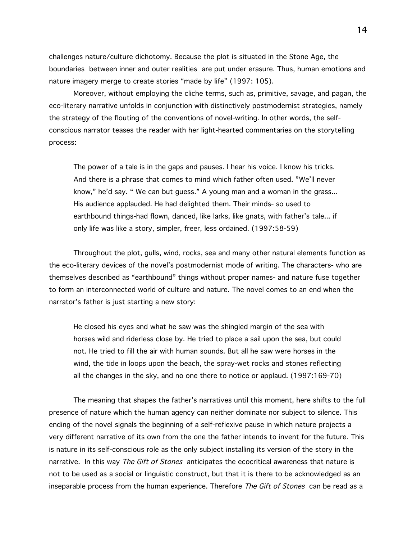challenges nature/culture dichotomy. Because the plot is situated in the Stone Age, the boundaries between inner and outer realities are put under erasure. Thus, human emotions and nature imagery merge to create stories "made by life" (1997: 105).

Moreover, without employing the cliche terms, such as, primitive, savage, and pagan, the eco-literary narrative unfolds in conjunction with distinctively postmodernist strategies, namely the strategy of the flouting of the conventions of novel-writing. In other words, the selfconscious narrator teases the reader with her light-hearted commentaries on the storytelling process:

The power of a tale is in the gaps and pauses. I hear his voice. I know his tricks. And there is a phrase that comes to mind which father often used. "We'll never know," he'd say. " We can but guess." A young man and a woman in the grass... His audience applauded. He had delighted them. Their minds- so used to earthbound things-had flown, danced, like larks, like gnats, with father's tale... if only life was like a story, simpler, freer, less ordained. (1997:58-59)

Throughout the plot, gulls, wind, rocks, sea and many other natural elements function as the eco-literary devices of the novel's postmodernist mode of writing. The characters- who are themselves described as "earthbound" things without proper names- and nature fuse together to form an interconnected world of culture and nature. The novel comes to an end when the narrator's father is just starting a new story:

He closed his eyes and what he saw was the shingled margin of the sea with horses wild and riderless close by. He tried to place a sail upon the sea, but could not. He tried to fill the air with human sounds. But all he saw were horses in the wind, the tide in loops upon the beach, the spray-wet rocks and stones reflecting all the changes in the sky, and no one there to notice or applaud. (1997:169-70)

The meaning that shapes the father's narratives until this moment, here shifts to the full presence of nature which the human agency can neither dominate nor subject to silence. This ending of the novel signals the beginning of a self-reflexive pause in which nature projects a very different narrative of its own from the one the father intends to invent for the future. This is nature in its self-conscious role as the only subject installing its version of the story in the narrative. In this way The Gift of Stones anticipates the ecocritical awareness that nature is not to be used as a social or linguistic construct, but that it is there to be acknowledged as an inseparable process from the human experience. Therefore The Gift of Stones can be read as a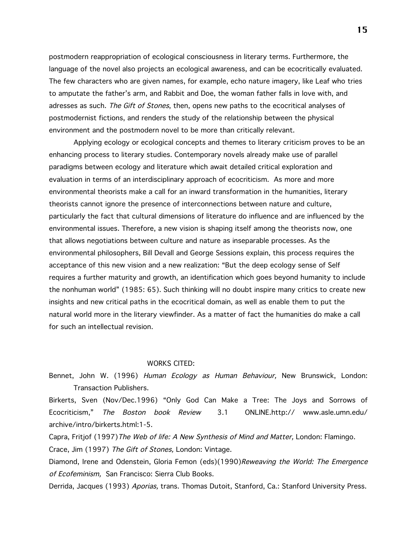postmodern reappropriation of ecological consciousness in literary terms. Furthermore, the language of the novel also projects an ecological awareness, and can be ecocritically evaluated. The few characters who are given names, for example, echo nature imagery, like Leaf who tries to amputate the father's arm, and Rabbit and Doe, the woman father falls in love with, and adresses as such. The Gift of Stones, then, opens new paths to the ecocritical analyses of postmodernist fictions, and renders the study of the relationship between the physical environment and the postmodern novel to be more than critically relevant.

Applying ecology or ecological concepts and themes to literary criticism proves to be an enhancing process to literary studies. Contemporary novels already make use of parallel paradigms between ecology and literature which await detailed critical exploration and evaluation in terms of an interdisciplinary approach of ecocriticism. As more and more environmental theorists make a call for an inward transformation in the humanities, literary theorists cannot ignore the presence of interconnections between nature and culture, particularly the fact that cultural dimensions of literature do influence and are influenced by the environmental issues. Therefore, a new vision is shaping itself among the theorists now, one that allows negotiations between culture and nature as inseparable processes. As the environmental philosophers, Bill Devall and George Sessions explain, this process requires the acceptance of this new vision and a new realization: "But the deep ecology sense of Self requires a further maturity and growth, an identification which goes beyond humanity to include the nonhuman world" (1985: 65). Such thinking will no doubt inspire many critics to create new insights and new critical paths in the ecocritical domain, as well as enable them to put the natural world more in the literary viewfinder. As a matter of fact the humanities do make a call for such an intellectual revision.

## WORKS CITED:

Bennet, John W. (1996) Human Ecology as Human Behaviour, New Brunswick, London: Transaction Publishers.

Birkerts, Sven (Nov/Dec.1996) "Only God Can Make a Tree: The Joys and Sorrows of Ecocriticism," The Boston book Review 3.1 ONLINE.http:// www.asle.umn.edu/ archive/intro/birkerts.html:1-5.

Capra, Fritjof (1997) The Web of life: A New Synthesis of Mind and Matter, London: Flamingo. Crace, Jim (1997) The Gift of Stones, London: Vintage.

Diamond, Irene and Odenstein, Gloria Femon (eds)(1990)Reweaving the World: The Emergence of Ecofeminism, San Francisco: Sierra Club Books.

Derrida, Jacques (1993) Aporias, trans. Thomas Dutoit, Stanford, Ca.: Stanford University Press.